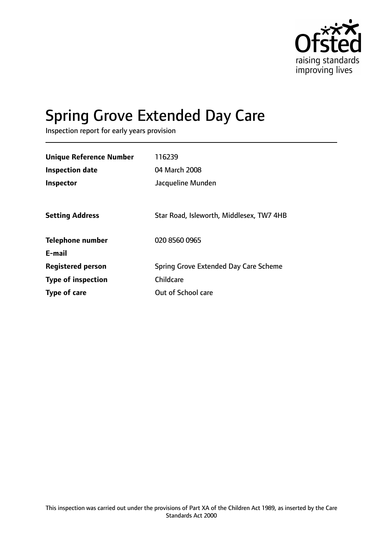

# Spring Grove Extended Day Care

Inspection report for early years provision

| Unique Reference Number   | 116239                                   |
|---------------------------|------------------------------------------|
| <b>Inspection date</b>    | 04 March 2008                            |
| Inspector                 | Jacqueline Munden                        |
|                           |                                          |
| <b>Setting Address</b>    | Star Road, Isleworth, Middlesex, TW7 4HB |
| <b>Telephone number</b>   | 020 8560 0965                            |
| E-mail                    |                                          |
| <b>Registered person</b>  | Spring Grove Extended Day Care Scheme    |
| <b>Type of inspection</b> | Childcare                                |
| Type of care              | Out of School care                       |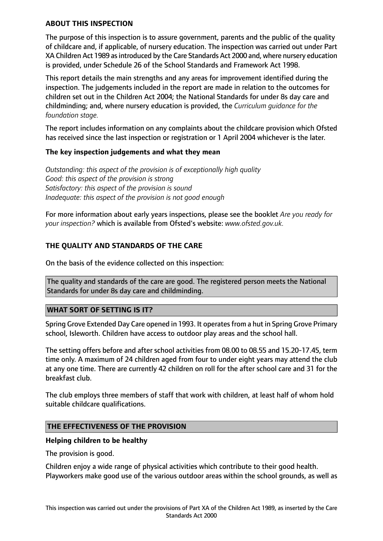### **ABOUT THIS INSPECTION**

The purpose of this inspection is to assure government, parents and the public of the quality of childcare and, if applicable, of nursery education. The inspection was carried out under Part XA Children Act 1989 as introduced by the Care Standards Act 2000 and, where nursery education is provided, under Schedule 26 of the School Standards and Framework Act 1998.

This report details the main strengths and any areas for improvement identified during the inspection. The judgements included in the report are made in relation to the outcomes for children set out in the Children Act 2004; the National Standards for under 8s day care and childminding; and, where nursery education is provided, the *Curriculum guidance for the foundation stage.*

The report includes information on any complaints about the childcare provision which Ofsted has received since the last inspection or registration or 1 April 2004 whichever is the later.

#### **The key inspection judgements and what they mean**

*Outstanding: this aspect of the provision is of exceptionally high quality Good: this aspect of the provision is strong Satisfactory: this aspect of the provision is sound Inadequate: this aspect of the provision is not good enough*

For more information about early years inspections, please see the booklet *Are you ready for your inspection?* which is available from Ofsted's website: *www.ofsted.gov.uk.*

## **THE QUALITY AND STANDARDS OF THE CARE**

On the basis of the evidence collected on this inspection:

The quality and standards of the care are good. The registered person meets the National Standards for under 8s day care and childminding.

#### **WHAT SORT OF SETTING IS IT?**

Spring Grove Extended Day Care opened in 1993. It operatesfrom a hut in Spring Grove Primary school, Isleworth. Children have access to outdoor play areas and the school hall.

The setting offers before and after school activities from 08.00 to 08.55 and 15.20-17.45, term time only. A maximum of 24 children aged from four to under eight years may attend the club at any one time. There are currently 42 children on roll for the after school care and 31 for the breakfast club.

The club employs three members of staff that work with children, at least half of whom hold suitable childcare qualifications.

#### **THE EFFECTIVENESS OF THE PROVISION**

#### **Helping children to be healthy**

The provision is good.

Children enjoy a wide range of physical activities which contribute to their good health. Playworkers make good use of the various outdoor areas within the school grounds, as well as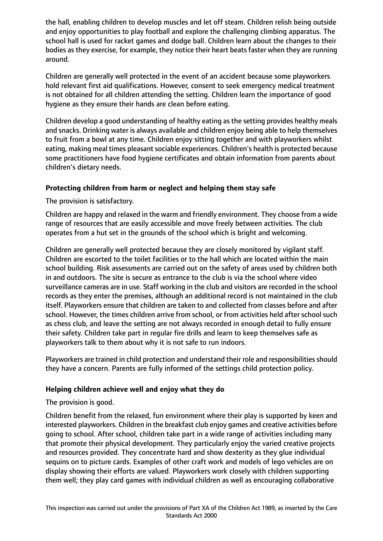the hall, enabling children to develop muscles and let off steam. Children relish being outside and enjoy opportunities to play football and explore the challenging climbing apparatus. The school hall is used for racket games and dodge ball. Children learn about the changes to their bodies as they exercise, for example, they notice their heart beats faster when they are running around.

Children are generally well protected in the event of an accident because some playworkers hold relevant first aid qualifications. However, consent to seek emergency medical treatment is not obtained for all children attending the setting. Children learn the importance of good hygiene as they ensure their hands are clean before eating.

Children develop a good understanding of healthy eating as the setting provides healthy meals and snacks. Drinking water is always available and children enjoy being able to help themselves to fruit from a bowl at any time. Children enjoy sitting together and with playworkers whilst eating, making meal times pleasant sociable experiences. Children's health is protected because some practitioners have food hygiene certificates and obtain information from parents about children's dietary needs.

## **Protecting children from harm or neglect and helping them stay safe**

The provision is satisfactory.

Children are happy and relaxed in the warm and friendly environment. They choose from a wide range of resources that are easily accessible and move freely between activities. The club operates from a hut set in the grounds of the school which is bright and welcoming.

Children are generally well protected because they are closely monitored by vigilant staff. Children are escorted to the toilet facilities or to the hall which are located within the main school building. Risk assessments are carried out on the safety of areas used by children both in and outdoors. The site is secure as entrance to the club is via the school where video surveillance cameras are in use. Staff working in the club and visitors are recorded in the school records as they enter the premises, although an additional record is not maintained in the club itself. Playworkers ensure that children are taken to and collected from classes before and after school. However, the times children arrive from school, or from activities held after school such as chess club, and leave the setting are not always recorded in enough detail to fully ensure their safety. Children take part in regular fire drills and learn to keep themselves safe as playworkers talk to them about why it is not safe to run indoors.

Playworkers are trained in child protection and understand their role and responsibilities should they have a concern. Parents are fully informed of the settings child protection policy.

#### **Helping children achieve well and enjoy what they do**

The provision is good.

Children benefit from the relaxed, fun environment where their play is supported by keen and interested playworkers. Children in the breakfast club enjoy games and creative activities before going to school. After school, children take part in a wide range of activities including many that promote their physical development. They particularly enjoy the varied creative projects and resources provided. They concentrate hard and show dexterity as they glue individual sequins on to picture cards. Examples of other craft work and models of lego vehicles are on display showing their efforts are valued. Playworkers work closely with children supporting them well; they play card games with individual children as well as encouraging collaborative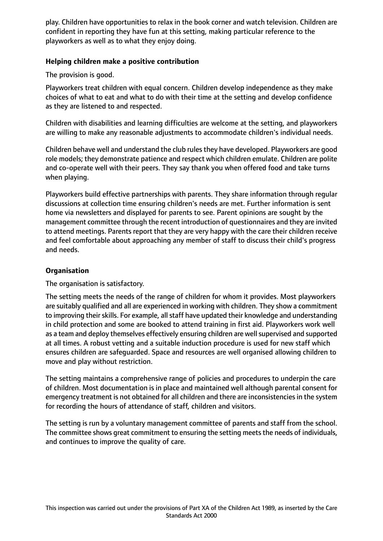play. Children have opportunities to relax in the book corner and watch television. Children are confident in reporting they have fun at this setting, making particular reference to the playworkers as well as to what they enjoy doing.

## **Helping children make a positive contribution**

The provision is good.

Playworkers treat children with equal concern. Children develop independence as they make choices of what to eat and what to do with their time at the setting and develop confidence as they are listened to and respected.

Children with disabilities and learning difficulties are welcome at the setting, and playworkers are willing to make any reasonable adjustments to accommodate children's individual needs.

Children behave well and understand the club rules they have developed. Playworkers are good role models; they demonstrate patience and respect which children emulate. Children are polite and co-operate well with their peers. They say thank you when offered food and take turns when playing.

Playworkers build effective partnerships with parents. They share information through regular discussions at collection time ensuring children's needs are met. Further information is sent home via newsletters and displayed for parents to see. Parent opinions are sought by the management committee through the recent introduction of questionnaires and they are invited to attend meetings. Parents report that they are very happy with the care their children receive and feel comfortable about approaching any member of staff to discuss their child's progress and needs.

## **Organisation**

The organisation is satisfactory.

The setting meets the needs of the range of children for whom it provides. Most playworkers are suitably qualified and all are experienced in working with children. They show a commitment to improving their skills. For example, all staff have updated their knowledge and understanding in child protection and some are booked to attend training in first aid. Playworkers work well as a team and deploy themselves effectively ensuring children are well supervised and supported at all times. A robust vetting and a suitable induction procedure is used for new staff which ensures children are safeguarded. Space and resources are well organised allowing children to move and play without restriction.

The setting maintains a comprehensive range of policies and procedures to underpin the care of children. Most documentation is in place and maintained well although parental consent for emergency treatment is not obtained for all children and there are inconsistencies in the system for recording the hours of attendance of staff, children and visitors.

The setting is run by a voluntary management committee of parents and staff from the school. The committee shows great commitment to ensuring the setting meets the needs of individuals, and continues to improve the quality of care.